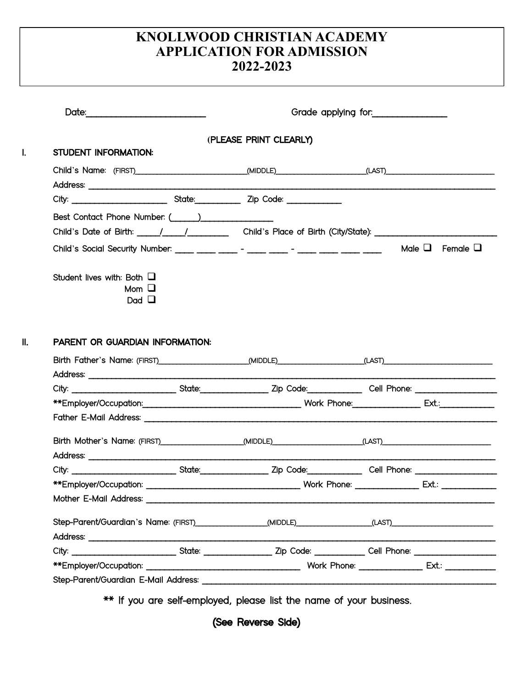## **KNOLLWOOD CHRISTIAN ACADEMY APPLICATION FOR ADMISSION 2022-2023**

| STUDENT INFORMATION:                                          | (PLEASE PRINT CLEARLY)                                                                                                                                                                                                         |                           |
|---------------------------------------------------------------|--------------------------------------------------------------------------------------------------------------------------------------------------------------------------------------------------------------------------------|---------------------------|
|                                                               |                                                                                                                                                                                                                                |                           |
|                                                               | Child's Name: (FIRST) _________________________(MIDDLE) __________________(LAST) _____________________________                                                                                                                 |                           |
|                                                               |                                                                                                                                                                                                                                |                           |
| Best Contact Phone Number: ( )                                |                                                                                                                                                                                                                                |                           |
|                                                               | Child's Date of Birth: _______________________________Child's Place of Birth (City/State): ___________________                                                                                                                 |                           |
|                                                               | Child's Social Security Number: ____ ___ ___ _ ___ - ____ - ____ - ____ ___ ____ ____ ____                                                                                                                                     | Male $\Box$ Female $\Box$ |
| Student lives with: Both $\Box$<br>$Mom$ $\Box$<br>Dad $\Box$ |                                                                                                                                                                                                                                |                           |
|                                                               |                                                                                                                                                                                                                                |                           |
| PARENT OR GUARDIAN INFORMATION:                               | Birth Father's Name: (FIRST)______________________(MIDDLE)_________________(LAST)________________________                                                                                                                      |                           |
|                                                               |                                                                                                                                                                                                                                |                           |
|                                                               |                                                                                                                                                                                                                                |                           |
|                                                               |                                                                                                                                                                                                                                |                           |
|                                                               |                                                                                                                                                                                                                                |                           |
|                                                               | Birth Mother's Name: (FIRST) [[THERET] [[MIDDLE] [MIDDLE] [[LAST] [[THERET] [[LAST] [[THERET] [[THERET] [[THERET] [[THERET] [[THERET] [[THERET] [[THERET] [[THERET] [[THERET] [[THERET] [[THERET] [[THERET] [[THERET] [[THERET |                           |
|                                                               |                                                                                                                                                                                                                                |                           |
|                                                               |                                                                                                                                                                                                                                |                           |
|                                                               | Mother E-Mail Address: North and the state of the state of the state of the state of the state of the state of the state of the state of the state of the state of the state of the state of the state of the state of the sta |                           |
|                                                               | Step-Parent/Guardian's Name: (FIRST) (MIDDLE) (MIDDLE) (LAST) (LAST)                                                                                                                                                           |                           |
|                                                               |                                                                                                                                                                                                                                |                           |
|                                                               |                                                                                                                                                                                                                                |                           |

\*\* If you are self-employed, please list the name of your business.

(See Reverse Side)